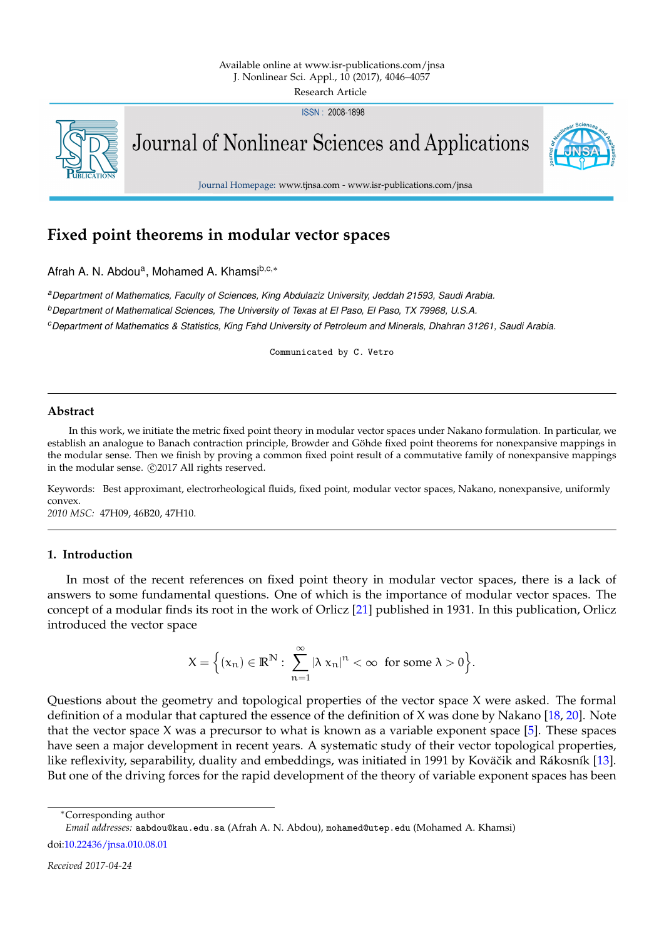ISSN: 2008-1898



Journal of Nonlinear Sciences and Applications



Journal Homepage: www.tjnsa.com - www.isr-publications.com/jnsa

# **Fixed point theorems in modular vector spaces**

Afrah A. N. Abdou<sup>a</sup>, Mohamed A. Khamsi<sup>b,c,\*</sup>

*<sup>a</sup>Department of Mathematics, Faculty of Sciences, King Abdulaziz University, Jeddah 21593, Saudi Arabia. <sup>b</sup>Department of Mathematical Sciences, The University of Texas at El Paso, El Paso, TX 79968, U.S.A. <sup>c</sup>Department of Mathematics & Statistics, King Fahd University of Petroleum and Minerals, Dhahran 31261, Saudi Arabia.*

Communicated by C. Vetro

### **Abstract**

In this work, we initiate the metric fixed point theory in modular vector spaces under Nakano formulation. In particular, we establish an analogue to Banach contraction principle, Browder and Göhde fixed point theorems for nonexpansive mappings in the modular sense. Then we finish by proving a common fixed point result of a commutative family of nonexpansive mappings in the modular sense.  $\odot$ 2017 All rights reserved.

Keywords: Best approximant, electrorheological fluids, fixed point, modular vector spaces, Nakano, nonexpansive, uniformly convex. *2010 MSC:* 47H09, 46B20, 47H10.

## <span id="page-0-0"></span>**1. Introduction**

In most of the recent references on fixed point theory in modular vector spaces, there is a lack of answers to some fundamental questions. One of which is the importance of modular vector spaces. The concept of a modular finds its root in the work of Orlicz [\[21\]](#page-11-0) published in 1931. In this publication, Orlicz introduced the vector space

$$
X = \Big\{ (x_n) \in \mathbb{R}^N : \sum_{n=1}^{\infty} |\lambda x_n|^n < \infty \text{ for some } \lambda > 0 \Big\}.
$$

Questions about the geometry and topological properties of the vector space X were asked. The formal definition of a modular that captured the essence of the definition of X was done by Nakano [\[18,](#page-11-1) [20\]](#page-11-2). Note that the vector space X was a precursor to what is known as a variable exponent space  $[5]$ . These spaces have seen a major development in recent years. A systematic study of their vector topological properties, like reflexivity, separability, duality and embeddings, was initiated in 1991 by Koväčik and Rákosník [\[13\]](#page-11-3). But one of the driving forces for the rapid development of the theory of variable exponent spaces has been

<sup>∗</sup>Corresponding author

*Email addresses:* aabdou@kau.edu.sa (Afrah A. N. Abdou), mohamed@utep.edu (Mohamed A. Khamsi)

doi[:10.22436/jnsa.010.08.01](http://dx.doi.org/10.22436/jnsa.010.08.01)

*Received 2017-04-24*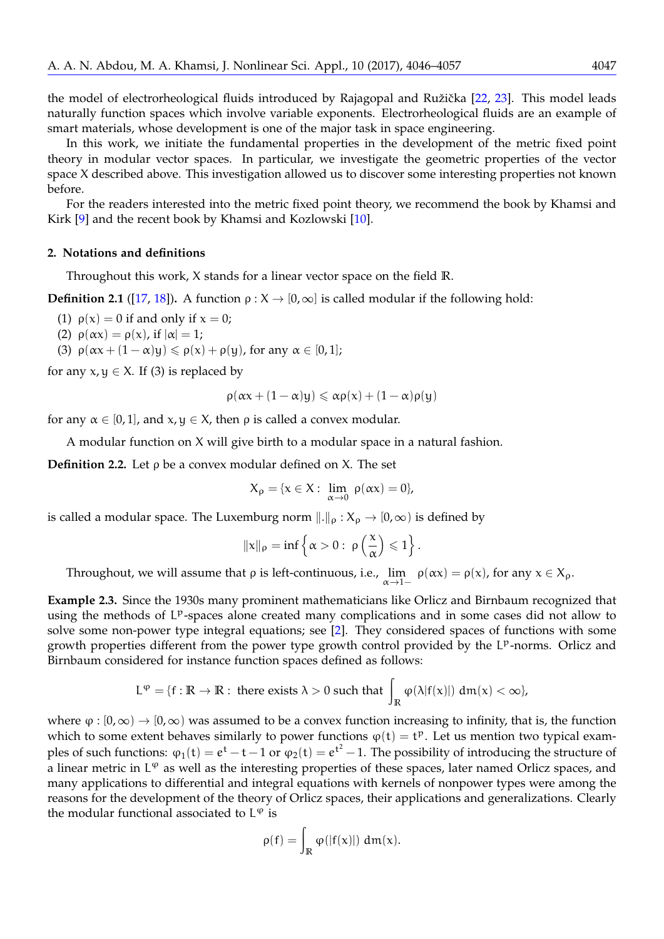the model of electrorheological fluids introduced by Rajagopal and Ružička [[22,](#page-11-4) [23\]](#page-11-5). This model leads naturally function spaces which involve variable exponents. Electrorheological fluids are an example of smart materials, whose development is one of the major task in space engineering.

In this work, we initiate the fundamental properties in the development of the metric fixed point theory in modular vector spaces. In particular, we investigate the geometric properties of the vector space X described above. This investigation allowed us to discover some interesting properties not known before.

For the readers interested into the metric fixed point theory, we recommend the book by Khamsi and Kirk [\[9\]](#page-11-6) and the recent book by Khamsi and Kozlowski [\[10\]](#page-11-7).

#### **2. Notations and definitions**

Throughout this work, X stands for a linear vector space on the field **R**.

<span id="page-1-1"></span>**Definition 2.1** ([\[17,](#page-11-8) [18\]](#page-11-1)). A function  $\rho : X \to [0, \infty]$  is called modular if the following hold:

- (1)  $\rho(x) = 0$  if and only if  $x = 0$ ;
- (2)  $\rho(\alpha x) = \rho(x)$ , if  $|\alpha| = 1$ ;
- (3)  $\rho(\alpha x + (1 \alpha)y) \leq \rho(x) + \rho(y)$ , for any  $\alpha \in [0, 1]$ ;

for any  $x, y \in X$ . If (3) is replaced by

$$
\rho(\alpha x + (1 - \alpha)y) \leqslant \alpha \rho(x) + (1 - \alpha)\rho(y)
$$

for any  $\alpha \in [0, 1]$ , and  $x, y \in X$ , then  $\rho$  is called a convex modular.

A modular function on X will give birth to a modular space in a natural fashion.

**Definition 2.2.** Let ρ be a convex modular defined on X. The set

$$
X_\rho=\{x\in X:\ \lim_{\alpha\to 0}\ \rho(\alpha x)=0\},
$$

is called a modular space. The Luxemburg norm  $\|.\|_{\rho} : X_{\rho} \to [0,\infty)$  is defined by

$$
\|x\|_{\rho} = \inf \left\{ \alpha > 0: \ \rho\left(\frac{x}{\alpha}\right) \leqslant 1 \right\}.
$$

Throughout, we will assume that  $\rho$  is left-continuous, i.e.,  $\lim_{\alpha \to 1^-} \rho(\alpha x) = \rho(x)$ , for any  $x \in X_\rho$ .

<span id="page-1-0"></span>**Example 2.3.** Since the 1930s many prominent mathematicians like Orlicz and Birnbaum recognized that using the methods of LP-spaces alone created many complications and in some cases did not allow to solve some non-power type integral equations; see [\[2\]](#page-10-1). They considered spaces of functions with some growth properties different from the power type growth control provided by the LP-norms. Orlicz and Birnbaum considered for instance function spaces defined as follows:

$$
L^\phi=\{f:\mathbb{R}\to\mathbb{R}:\text{ there exists }\lambda>0\text{ such that }\int_\mathbb{R}\phi(\lambda|f(x)|)\ dm(x)<\infty\},
$$

where  $\varphi : [0,\infty) \to [0,\infty)$  was assumed to be a convex function increasing to infinity, that is, the function which to some extent behaves similarly to power functions  $\varphi(t) = t^p$ . Let us mention two typical examples of such functions:  $\varphi_1(t)=e^t-t-1$  or  $\varphi_2(t)=e^{t^2}-1$ . The possibility of introducing the structure of a linear metric in  $L^{\varphi}$  as well as the interesting properties of these spaces, later named Orlicz spaces, and many applications to differential and integral equations with kernels of nonpower types were among the reasons for the development of the theory of Orlicz spaces, their applications and generalizations. Clearly the modular functional associated to  $L^{\varphi}$  is

$$
\rho(f)=\int_{\mathbb{R}}\phi(|f(x)|)\ dm(x).
$$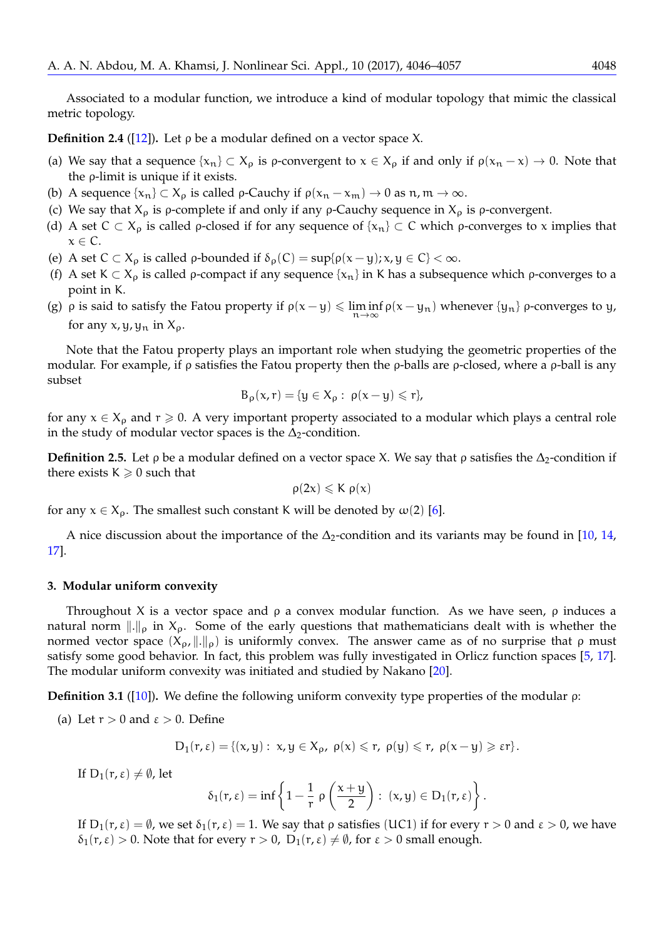Associated to a modular function, we introduce a kind of modular topology that mimic the classical metric topology.

<span id="page-2-3"></span>**Definition 2.4** ([\[12\]](#page-11-9)). Let  $\rho$  be a modular defined on a vector space X.

- (a) We say that a sequence  $\{x_n\} \subset X_\rho$  is  $\rho$ -convergent to  $x \in X_\rho$  if and only if  $\rho(x_n x) \to 0$ . Note that the ρ-limit is unique if it exists.
- (b) A sequence  $\{x_n\} \subset X_\rho$  is called  $\rho$ -Cauchy if  $\rho(x_n x_m) \to 0$  as  $n, m \to \infty$ .
- (c) We say that  $X_\rho$  is  $\rho$ -complete if and only if any  $\rho$ -Cauchy sequence in  $X_\rho$  is  $\rho$ -convergent.
- (d) A set  $C \subset X_0$  is called p-closed if for any sequence of  $\{x_n\} \subset C$  which p-converges to x implies that  $x \in \mathbb{C}$ .
- (e) A set  $C \subset X_\rho$  is called  $\rho$ -bounded if  $\delta_\rho(C) = \sup{\{\rho(x-y); x, y \in C\}} < \infty$ .
- (f) A set K  $\subset X_\rho$  is called  $\rho$ -compact if any sequence { $x_n$ } in K has a subsequence which  $\rho$ -converges to a point in K.
- (g)  $\rho$  is said to satisfy the Fatou property if  $\rho(x y) \leq \liminf$ <sup>n</sup>→<sup>∞</sup>  $\rho(x - y_n)$  whenever  $\{y_n\}$   $\rho$ -converges to y, for any  $x, y, y_n$  in  $X_0$ .

Note that the Fatou property plays an important role when studying the geometric properties of the modular. For example, if ρ satisfies the Fatou property then the ρ-balls are ρ-closed, where a ρ-ball is any subset

$$
B_\rho(x,r)=\{y\in X_\rho:\ \rho(x-y)\leqslant r\},
$$

for any  $x \in X_\rho$  and  $r \geq 0$ . A very important property associated to a modular which plays a central role in the study of modular vector spaces is the  $\Delta_2$ -condition.

<span id="page-2-2"></span>**Definition 2.5.** Let  $\rho$  be a modular defined on a vector space X. We say that  $\rho$  satisfies the  $\Delta_2$ -condition if there exists  $K \geq 0$  such that

$$
\rho(2x)\leqslant K\;\rho(x)
$$

for any  $x \in X_{\rho}$ . The smallest such constant K will be denoted by  $\omega(2)$  [\[6\]](#page-10-2).

A nice discussion about the importance of the  $\Delta_2$ -condition and its variants may be found in [\[10,](#page-11-7) [14,](#page-11-10) [17\]](#page-11-8).

#### <span id="page-2-1"></span>**3. Modular uniform convexity**

Throughout X is a vector space and  $\rho$  a convex modular function. As we have seen,  $\rho$  induces a natural norm  $\|.\|_{\rho}$  in  $X_{\rho}$ . Some of the early questions that mathematicians dealt with is whether the normed vector space  $(X_\rho, \|.\|_\rho)$  is uniformly convex. The answer came as of no surprise that ρ must satisfy some good behavior. In fact, this problem was fully investigated in Orlicz function spaces [\[5,](#page-10-0) [17\]](#page-11-8). The modular uniform convexity was initiated and studied by Nakano [\[20\]](#page-11-2).

<span id="page-2-0"></span>**Definition 3.1** ([\[10\]](#page-11-7))**.** We define the following uniform convexity type properties of the modular ρ:

(a) Let  $r > 0$  and  $\varepsilon > 0$ . Define

$$
D_1(r,\epsilon)=\{(x,y):\; x,y\in X_\rho,\; \rho(x)\leqslant r,\; \rho(y)\leqslant r,\; \rho(x-y)\geqslant \epsilon r\}.
$$

If  $D_1(r, \varepsilon) \neq \emptyset$ , let

$$
\delta_1(r,\epsilon)=\inf\left\{1-\frac{1}{r}\;\rho\left(\frac{x+y}{2}\right):\;(x,y)\in D_1(r,\epsilon)\right\}.
$$

If  $D_1(r, \varepsilon) = \emptyset$ , we set  $\delta_1(r, \varepsilon) = 1$ . We say that *ρ* satisfies (UC1) if for every  $r > 0$  and  $\varepsilon > 0$ , we have  $\delta_1(r,\varepsilon) > 0$ . Note that for every  $r > 0$ ,  $D_1(r,\varepsilon) \neq \emptyset$ , for  $\varepsilon > 0$  small enough.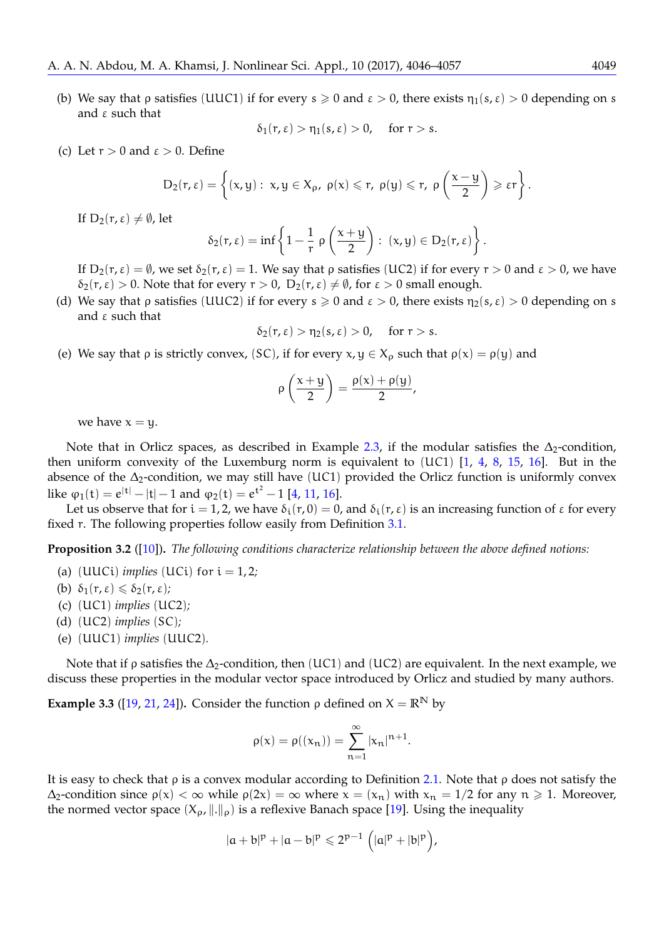(b) We say that ρ satisfies (UUC1) if for every  $s \ge 0$  and  $\varepsilon > 0$ , there exists  $\eta_1(s, \varepsilon) > 0$  depending on s and ε such that

$$
\delta_1(r,\varepsilon) > \eta_1(s,\varepsilon) > 0, \quad \text{for } r > s.
$$

(c) Let  $r > 0$  and  $\varepsilon > 0$ . Define

$$
D_2(r,\epsilon)=\left\{(x,y):\; x,y\in X_\rho,\; \rho(x)\leqslant r,\; \rho(y)\leqslant r,\; \rho\left(\frac{x-y}{2}\right)\geqslant \epsilon r\right\}.
$$

If  $D_2(r, \varepsilon) \neq \emptyset$ , let

$$
\delta_2(r,\epsilon)=\inf\left\{1-\frac{1}{r}\;\rho\left(\frac{x+y}{2}\right):\;(x,y)\in D_2(r,\epsilon)\right\}.
$$

If  $D_2(r,\varepsilon) = \emptyset$ , we set  $\delta_2(r,\varepsilon) = 1$ . We say that  $\rho$  satisfies (UC2) if for every  $r > 0$  and  $\varepsilon > 0$ , we have  $\delta_2(\tau, \varepsilon) > 0$ . Note that for every  $r > 0$ ,  $D_2(r, \varepsilon) \neq \emptyset$ , for  $\varepsilon > 0$  small enough.

(d) We say that  $\rho$  satisfies (UUC2) if for every  $s \ge 0$  and  $\varepsilon > 0$ , there exists  $\eta_2(s, \varepsilon) > 0$  depending on s and ε such that

$$
\delta_2(r,\varepsilon) > \eta_2(s,\varepsilon) > 0, \quad \text{for } r > s.
$$

(e) We say that  $\rho$  is strictly convex, (SC), if for every  $x, y \in X_{\rho}$  such that  $\rho(x) = \rho(y)$  and

$$
\rho\left(\frac{x+y}{2}\right)=\frac{\rho(x)+\rho(y)}{2},
$$

we have  $x = y$ .

Note that in Orlicz spaces, as described in Example [2.3,](#page-1-0) if the modular satisfies the  $\Delta_2$ -condition, then uniform convexity of the Luxemburg norm is equivalent to (UC1) [\[1,](#page-10-3) [4,](#page-10-4) [8,](#page-11-11) [15,](#page-11-12) [16\]](#page-11-13). But in the absence of the ∆2-condition, we may still have (UC1) provided the Orlicz function is uniformly convex like  $\varphi_1(t) = e^{|t|} - |t| - 1$  and  $\varphi_2(t) = e^{t^2} - 1$  [\[4,](#page-10-4) [11,](#page-11-14) [16\]](#page-11-13).

Let us observe that for  $i = 1, 2$ , we have  $\delta_i(r, 0) = 0$ , and  $\delta_i(r, \varepsilon)$  is an increasing function of  $\varepsilon$  for every fixed r. The following properties follow easily from Definition [3.1.](#page-2-0)

<span id="page-3-0"></span>**Proposition 3.2** ([\[10\]](#page-11-7))**.** *The following conditions characterize relationship between the above defined notions:*

- (a)  $(UUCi)$  *implies*  $(UCi)$  for  $i = 1, 2;$
- (b)  $\delta_1(r,\varepsilon) \leq \delta_2(r,\varepsilon)$ ;
- (c) (UC1) *implies* (UC2)*;*
- (d) (UC2) *implies* (SC)*;*
- (e) (UUC1) *implies* (UUC2)*.*

Note that if  $\rho$  satisfies the  $\Delta_2$ -condition, then (UC1) and (UC2) are equivalent. In the next example, we discuss these properties in the modular vector space introduced by Orlicz and studied by many authors.

<span id="page-3-1"></span>**Example 3.3** ([\[19,](#page-11-15) [21,](#page-11-0) [24\]](#page-11-16)). Consider the function  $\rho$  defined on  $X = \mathbb{R}^N$  by

$$
\rho(x) = \rho((x_n)) = \sum_{n=1}^{\infty} |x_n|^{n+1}.
$$

It is easy to check that  $\rho$  is a convex modular according to Definition [2.1.](#page-1-1) Note that  $\rho$  does not satisfy the  $\Delta_2$ -condition since  $\rho(x) < \infty$  while  $\rho(2x) = \infty$  where  $x = (x_n)$  with  $x_n = 1/2$  for any  $n \ge 1$ . Moreover, the normed vector space  $(X_\rho, \|\cdot\|_\rho)$  is a reflexive Banach space [\[19\]](#page-11-15). Using the inequality

$$
|a+b|^p + |a-b|^p \leq 2^{p-1} (|a|^p + |b|^p),
$$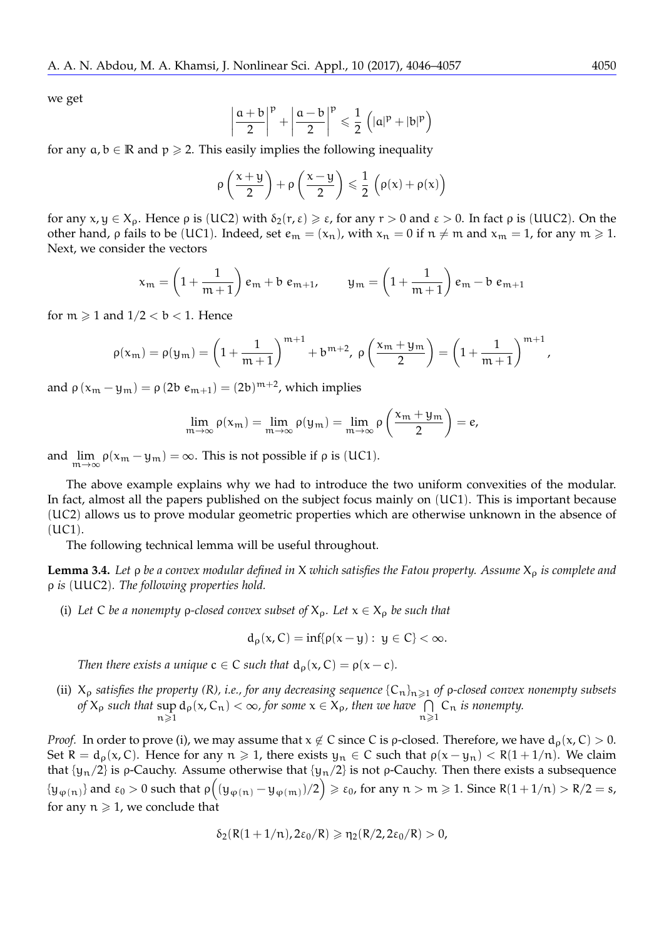we get

$$
\left|\frac{a+b}{2}\right|^p+\left|\frac{a-b}{2}\right|^p\leqslant\frac{1}{2}\left(|a|^p+|b|^p\right)
$$

for any  $a, b \in \mathbb{R}$  and  $p \ge 2$ . This easily implies the following inequality

$$
\rho\left(\frac{x+y}{2}\right) + \rho\left(\frac{x-y}{2}\right) \leqslant \frac{1}{2}\,\left(\rho(x) + \rho(x)\right)
$$

for any  $x, y \in X_\rho$ . Hence  $\rho$  is (UC2) with  $\delta_2(r, \varepsilon) \geq \varepsilon$ , for any  $r > 0$  and  $\varepsilon > 0$ . In fact  $\rho$  is (UUC2). On the other hand,  $\rho$  fails to be (UC1). Indeed, set  $e_m = (x_n)$ , with  $x_n = 0$  if  $n \neq m$  and  $x_m = 1$ , for any  $m \ge 1$ . Next, we consider the vectors

$$
x_m = \left(1 + \frac{1}{m+1}\right) e_m + b e_{m+1}, \qquad y_m = \left(1 + \frac{1}{m+1}\right) e_m - b e_{m+1}
$$

for  $m \ge 1$  and  $1/2 < b < 1$ . Hence

$$
\rho(x_m) = \rho(y_m) = \left(1 + \frac{1}{m+1}\right)^{m+1} + b^{m+2}, \ \rho\left(\frac{x_m + y_m}{2}\right) = \left(1 + \frac{1}{m+1}\right)^{m+1},
$$

and  $\rho(x_m - y_m) = \rho(2b e_{m+1}) = (2b)^{m+2}$ , which implies

$$
\lim_{m \to \infty} \rho(x_m) = \lim_{m \to \infty} \rho(y_m) = \lim_{m \to \infty} \rho\left(\frac{x_m + y_m}{2}\right) = e,
$$

and  $\lim_{m \to \infty} \rho(x_m - y_m) = \infty$ . This is not possible if  $\rho$  is (UC1).

The above example explains why we had to introduce the two uniform convexities of the modular. In fact, almost all the papers published on the subject focus mainly on (UC1). This is important because (UC2) allows us to prove modular geometric properties which are otherwise unknown in the absence of (UC1).

The following technical lemma will be useful throughout.

<span id="page-4-0"></span>**Lemma 3.4.** *Let ρ be a convex modular defined in X which satisfies the Fatou property. Assume*  $X_0$  *is complete and* ρ *is* (UUC2)*. The following properties hold.*

(i) Let C *be a nonempty ρ-closed convex subset of*  $X_p$ *. Let*  $x \in X_p$  *be such that* 

$$
d_{\rho}(x,C)=\inf\{\rho(x-y):\ y\in C\}<\infty.
$$

*Then there exists a unique*  $c \in C$  *such that*  $d_0(x, C) = \rho(x - c)$ *.* 

(ii)  $X_p$  *satisfies the property (R), i.e., for any decreasing sequence*  $\{C_n\}_{n\geq 1}$  *of p*-closed convex nonempty subsets *of*  $X_{\rho}$  *such that*  $\sup_{n \geq 1} d_{\rho}(x, C_n) < \infty$ , *for some*  $x \in X_{\rho}$ , *then* we have  $\bigcap_{n \geq 1} C_n$  *is nonempty.*  $n > 1$  $n > 1$ 

*Proof.* In order to prove (i), we may assume that  $x \notin C$  since C is *ρ*-closed. Therefore, we have  $d_{\rho}(x, C) > 0$ . Set R =  $d_p(x, C)$ . Hence for any  $n \ge 1$ , there exists  $y_n \in C$  such that  $p(x - y_n) < R(1 + 1/n)$ . We claim that  $\{y_n/2\}$  is ρ-Cauchy. Assume otherwise that  $\{y_n/2\}$  is not ρ-Cauchy. Then there exists a subsequence  $\{\overline{y}_{\phi(n)}\}$  and  $\varepsilon_0 > 0$  such that  $\rho\Big((\overline{y}_{\phi(n)} - \overline{y}_{\phi(m)})/2\Big) \geqslant \varepsilon_0$ , for any  $n > m \geqslant 1$ . Since  $R(1 + 1/n) > R/2 = s$ , for any  $n \geq 1$ , we conclude that

$$
\delta_2(R(1+1/n),2\epsilon_0/R)\geqslant \eta_2(R/2,2\epsilon_0/R)>0,
$$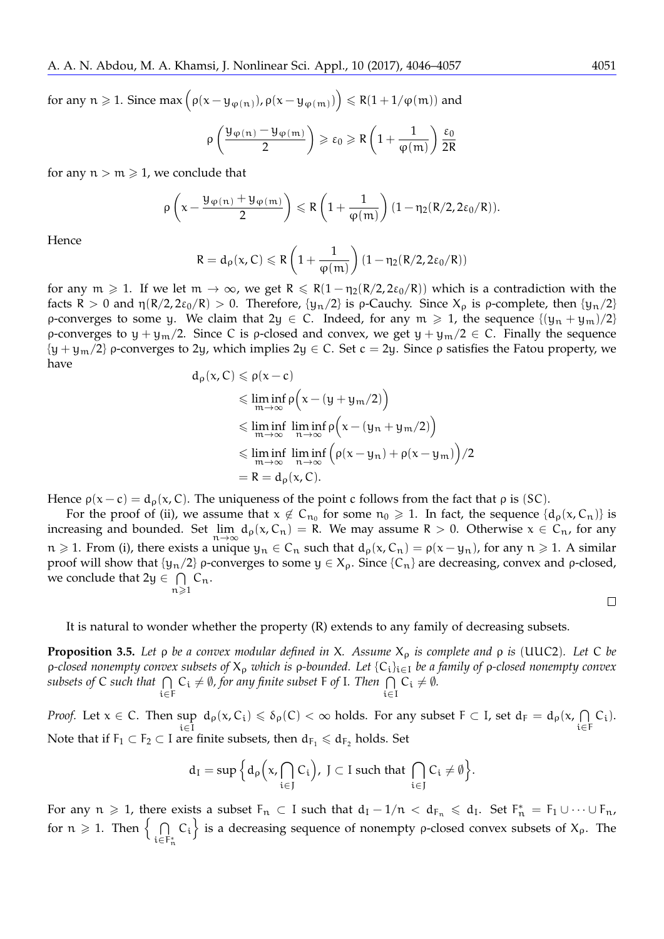for any  $n \geqslant 1$ . Since  $\max\left(\rho(x - y_{\phi(n)}) , \rho(x - y_{\phi(m)})\right) \leqslant R(1 + 1/\phi(m))$  and

$$
\rho\left(\frac{\mathfrak{Y}_{\phi(n)}-\mathfrak{Y}_{\phi(m)}}{2}\right)\geqslant \epsilon_0\geqslant R\left(1+\frac{1}{\phi(m)}\right)\frac{\epsilon_0}{2R}
$$

for any  $n > m \ge 1$ , we conclude that

$$
\rho\left(x-\frac{y_{\phi\left(n\right)}+y_{\phi\left(m\right)}}{2}\right)\leqslant R\left(1+\frac{1}{\phi(m)}\right)\left(1-\eta_2(R/2,2\epsilon_0/R)\right).
$$

Hence

$$
R = d_{\rho}(x, C) \leqslant R\left(1 + \frac{1}{\phi(m)}\right)(1 - \eta_2(R/2, 2\epsilon_0/R))
$$

for any  $m \ge 1$ . If we let  $m \to \infty$ , we get  $R \le R(1 - \eta_2(R/2, 2\varepsilon_0/R))$  which is a contradiction with the facts R > 0 and  $\eta(R/2, 2\varepsilon_0/R)$  > 0. Therefore,  $\{y_n/2\}$  is  $\rho$ -Cauchy. Since  $X_\rho$  is  $\rho$ -complete, then  $\{y_n/2\}$ ρ-converges to some y. We claim that  $2y \in C$ . Indeed, for any  $m \ge 1$ , the sequence  $\{(y_n + y_m)/2\}$ ρ-converges to  $y + y_m/2$ . Since C is ρ-closed and convex, we get  $y + y_m/2 \in C$ . Finally the sequence  ${y + y_m/2}$  ρ-converges to 2y, which implies 2y  $\in C$ . Set  $c = 2y$ . Since ρ satisfies the Fatou property, we have  $d_{\rho}(x, C) \leqslant \rho(x - c)$ 

$$
x, C) \leq \rho(x - c)
$$
  
\n
$$
\leq \liminf_{m \to \infty} \rho\left(x - (y + y_m/2)\right)
$$
  
\n
$$
\leq \liminf_{m \to \infty} \liminf_{n \to \infty} \rho\left(x - (y_n + y_m/2)\right)
$$
  
\n
$$
\leq \liminf_{m \to \infty} \liminf_{n \to \infty} \left(\rho(x - y_n) + \rho(x - y_m)\right)/2
$$
  
\n
$$
= R = d_\rho(x, C).
$$

Hence  $\rho(x-c) = d_{\rho}(x, C)$ . The uniqueness of the point c follows from the fact that  $\rho$  is (SC).

For the proof of (ii), we assume that  $x \notin C_{n_0}$  for some  $n_0 \ge 1$ . In fact, the sequence  $\{d_p(x, C_n)\}$  is increasing and bounded. Set  $\lim_{n\to\infty} d_\rho(x, C_n) = R$ . We may assume  $R > 0$ . Otherwise  $x \in C_n$ , for any  $x > 1$ . From (i) there exists a unique  $x \in C_n$  such that  $d_\rho(x, C_n) = g(x, y)$  for any  $x > 1$ . A similar  $n \ge 1$ . From (i), there exists a unique  $y_n \in C_n$  such that  $d_\rho(x, C_n) = \rho(x - y_n)$ , for any  $n \ge 1$ . A similar proof will show that {y<sub>n</sub>/2} ρ-converges to some  $y \in X$ <sub>ρ</sub>. Since {C<sub>n</sub>} are decreasing, convex and ρ-closed, we conclude that  $2y \in \bigcap C_n$ .  $n\geqslant1$ 

$$
\qquad \qquad \Box
$$

It is natural to wonder whether the property (R) extends to any family of decreasing subsets.

<span id="page-5-0"></span>**Proposition 3.5.** *Let* ρ *be a convex modular defined in* X*. Assume* X<sup>ρ</sup> *is complete and* ρ *is* (UUC2)*. Let* C *be* ρ*-closed nonempty convex subsets of* X<sup>ρ</sup> *which is* ρ*-bounded. Let* {Ci}i∈<sup>I</sup> *be a family of* ρ*-closed nonempty convex*  $subsets$  of  $C$  such that  $\bigcap C_i \neq \emptyset$ , for any finite subset F of I. Then  $\bigcap C_i \neq \emptyset$ . i∈F i∈I

*Proof.* Let  $x \in C$ . Then  $\sup_{i \in I} d_{\rho}(x, C_i) \le \delta_{\rho}(C) < \infty$  holds. For any subset  $F \subset I$ , set  $d_F = d_{\rho}(x, \bigcap_{i \in I} d_{\rho}(C_i))$ i∈I i∈F  $C_i$ ). Note that if  $F_1 \subset F_2 \subset I$  are finite subsets, then  $d_{F_1} \leq d_{F_2}$  holds. Set

$$
d_I=\sup\Big\{d_\rho\Big(x,\bigcap_{i\in J}\mathcal{C}_i\Big),\ J\subset I\ \text{such that}\ \bigcap_{i\in J}\mathcal{C}_i\neq\emptyset\Big\}.
$$

For any  $n \geq 1$ , there exists a subset  $F_n \subset I$  such that  $d_I - 1/n < d_{F_n} \leqslant d_I$ . Set  $F_n^* = F_1 \cup \cdots \cup F_n$ , for  $n \geqslant 1$ . Then  $\left\{\n\begin{array}{c}\n\end{array}\right\}$ i∈F<sup>∗</sup> n  $C_i$  is a decreasing sequence of nonempty *ρ*-closed convex subsets of  $X_p$ . The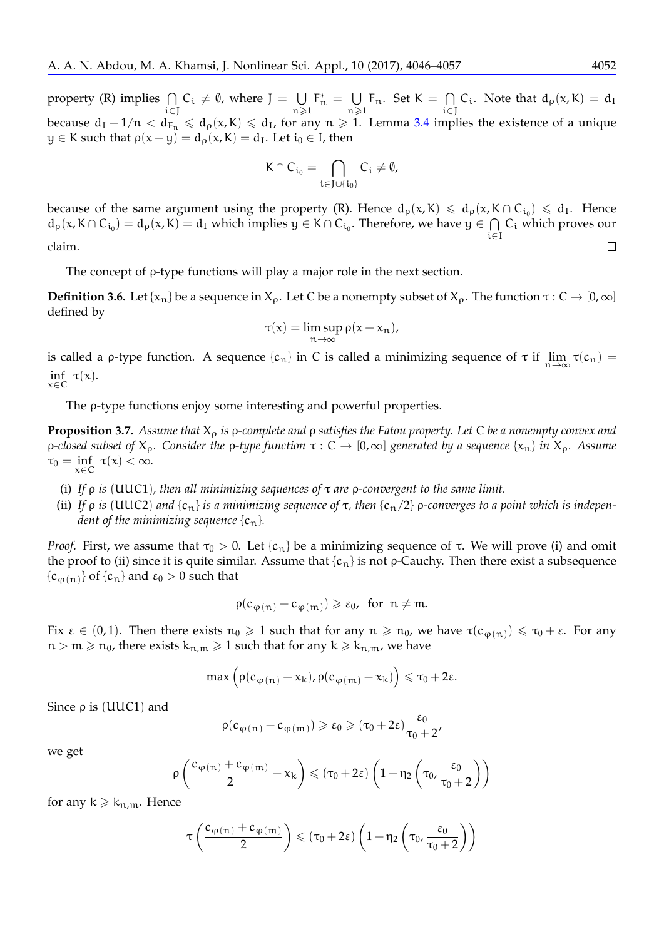property (R) implies  $\bigcap$ i∈J  $C_i \neq \emptyset$ , where  $J = \bigcup$  $n\geqslant1$  $F_n^* = \bigcup$  $n\geqslant 1$  $F_n$ . Set  $K = \bigcap$ i∈J C<sub>i</sub>. Note that  $d_{\rho}(x, K) = d_{\text{I}}$ because  $d_I - 1/n < d_{F_n} \le d_P(x, K) \le d_I$ , for any  $n \ge 1$ . Lemma [3.4](#page-4-0) implies the existence of a unique  $y \in K$  such that  $\rho(x - y) = d_{\rho}(x, K) = d_{I}$ . Let  $i_{0} \in I$ , then

$$
K\cap C_{\mathfrak{i}_0}=\bigcap_{\mathfrak{i}\in J\cup\{\mathfrak{i}_0\}}C_\mathfrak{i}\neq\emptyset,
$$

because of the same argument using the property (R). Hence  $d_{\rho}(x,K) \leq d_{\rho}(x,K \cap C_{i_0}) \leq d_I$ . Hence  $d_{\rho}(x,K\cap C_{i_0})=d_{\rho}(x,K)=d_I$  which implies  $y\in K\cap C_{i_0}$ . Therefore, we have  $y\in \bigcap C_i$  which proves our i∈I claim.  $\Box$ 

The concept of ρ-type functions will play a major role in the next section.

**Definition 3.6.** Let { $x_n$ } be a sequence in  $X_\rho$ . Let C be a nonempty subset of  $X_\rho$ . The function  $\tau : C \to [0, \infty]$ defined by

$$
\tau(x) = \limsup_{n \to \infty} \rho(x - x_n),
$$

is called a *ρ*-type function. A sequence {*c<sub>n</sub>*} in *C* is called a minimizing sequence of τ if  $\lim_{n\to\infty}$  τ(*c<sub>n</sub>*) = inf τ(*c*)  $\inf_{x \in C} \tau(x)$ .

The ρ-type functions enjoy some interesting and powerful properties.

<span id="page-6-0"></span>**Proposition 3.7.** *Assume that* X<sup>ρ</sup> *is* ρ*-complete and* ρ *satisfies the Fatou property. Let* C *be a nonempty convex and* <sup>ρ</sup>*-closed subset of* <sup>X</sup>ρ*. Consider the* <sup>ρ</sup>*-type function* <sup>τ</sup> : <sup>C</sup> <sup>→</sup> [0,∞] *generated by a sequence* {xn} *in* <sup>X</sup>ρ*. Assume*  $\tau_0 = \inf_{x \in C} \tau(x) < \infty$ . x∈C

- (i) *If* ρ *is* (UUC1)*, then all minimizing sequences of* τ *are* ρ*-convergent to the same limit.*
- (ii) If  $\rho$  *is* (UUC2) and  $\{c_n\}$  *is a minimizing sequence of*  $\tau$ , then  $\{c_n/2\}$   $\rho$ -converges to a point which is indepen*dent of the minimizing sequence*  ${c_n}$ *.*

*Proof.* First, we assume that  $τ_0 > 0$ . Let  ${c_n}$  be a minimizing sequence of τ. We will prove (i) and omit the proof to (ii) since it is quite similar. Assume that  $\{c_n\}$  is not  $\rho$ -Cauchy. Then there exist a subsequence  ${c_{\varphi(n)}}$  of  ${c_n}$  and  $\varepsilon_0 > 0$  such that

$$
\rho(c_{\phi(n)}-c_{\phi(m)})\geqslant \epsilon_0, \text{ for } n\neq m.
$$

Fix  $\varepsilon \in (0,1)$ . Then there exists  $n_0 \geq 1$  such that for any  $n \geq n_0$ , we have  $\tau(c_{\phi(n)}) \leq \tau_0 + \varepsilon$ . For any  $n > m \ge n_0$ , there exists  $k_{n,m} \ge 1$  such that for any  $k \ge k_{n,m}$ , we have

$$
\max\left(\rho(c_{\phi(n)}-x_k),\rho(c_{\phi(m)}-x_k)\right)\leqslant \tau_0+2\varepsilon.
$$

Since  $ρ$  is (UUC1) and

$$
\rho(c_{\phi(\mathfrak{n})}-c_{\phi(\mathfrak{m})})\geqslant \epsilon_0\geqslant (\tau_0+2\epsilon)\frac{\epsilon_0}{\tau_0+2},
$$

we get

$$
\rho\left(\frac{c_{\phi\left(n\right)}+c_{\phi\left(m\right)}}{2}-x_{k}\right)\leqslant\left(\tau_{0}+2\epsilon\right)\left(1-\eta_{2}\left(\tau_{0},\frac{\epsilon_{0}}{\tau_{0}+2}\right)\right)
$$

for any  $k \geq k_{n,m}$ . Hence

$$
\tau\left(\frac{c_{\phi\left(n\right)}+c_{\phi\left(m\right)}}{2}\right)\leqslant(\tau_{0}+2\epsilon)\left(1-\eta_{2}\left(\tau_{0},\frac{\epsilon_{0}}{\tau_{0}+2}\right)\right)
$$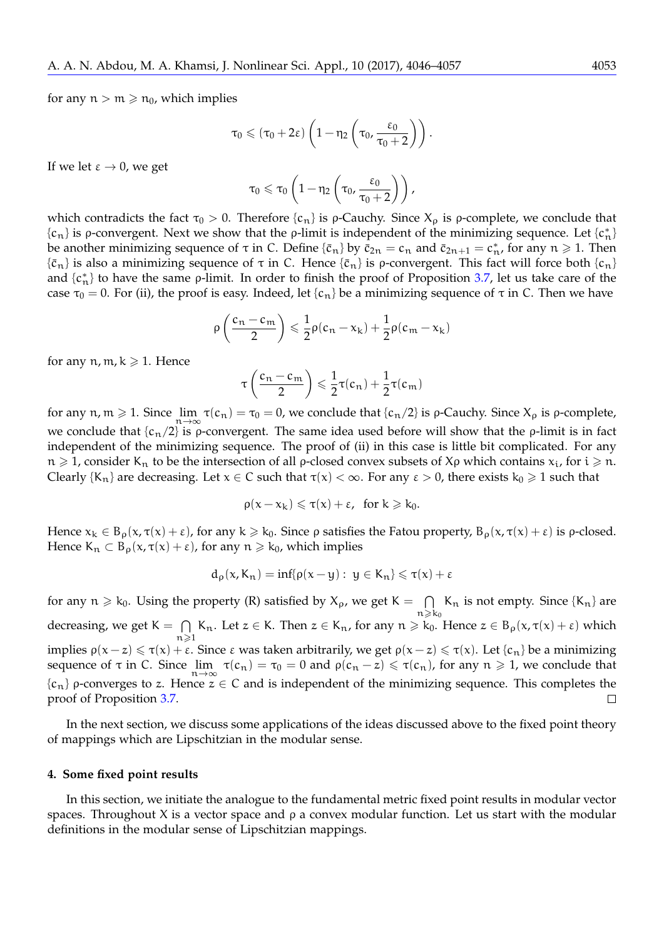for any  $n > m \ge n_0$ , which implies

$$
\tau_0 \leqslant (\tau_0 + 2\epsilon) \left(1 - \eta_2 \left(\tau_0, \frac{\epsilon_0}{\tau_0 + 2}\right)\right).
$$

If we let  $\varepsilon \to 0$ , we get

$$
\tau_0 \leqslant \tau_0 \left(1 - \eta_2 \left(\tau_0, \frac{\epsilon_0}{\tau_0 + 2}\right)\right),
$$

which contradicts the fact  $\tau_0 > 0$ . Therefore  $\{c_n\}$  is *ρ*-Cauchy. Since  $X_0$  is *ρ*-complete, we conclude that  ${c_n}$  is ρ-convergent. Next we show that the ρ-limit is independent of the minimizing sequence. Let  ${c_n^*}$ be another minimizing sequence of  $\tau$  in C. Define  $\{\bar{c}_n\}$  by  $\bar{c}_{2n} = c_n$  and  $\bar{c}_{2n+1} = c_n^*$ , for any  $n \ge 1$ . Then  ${\bar{c}_n}$  is also a minimizing sequence of  $\tau$  in C. Hence  ${\bar{c}_n}$  is *p*-convergent. This fact will force both  ${c_n}$ and  ${c_n^*}$  to have the same *ρ*-limit. In order to finish the proof of Proposition [3.7,](#page-6-0) let us take care of the case  $\tau_0 = 0$ . For (ii), the proof is easy. Indeed, let  $\{c_n\}$  be a minimizing sequence of  $\tau$  in C. Then we have

$$
\rho\left(\frac{c_n-c_m}{2}\right) \leqslant \frac{1}{2}\rho(c_n-x_k) + \frac{1}{2}\rho(c_m-x_k)
$$

for any  $n, m, k \geq 1$ . Hence

$$
\tau\left(\frac{c_n-c_m}{2}\right) \leqslant \frac{1}{2}\tau(c_n) + \frac{1}{2}\tau(c_m)
$$

for any  $n, m \ge 1$ . Since  $\lim_{n \to \infty} \tau(c_n) = \tau_0 = 0$ , we conclude that  $\{c_n/2\}$  is  $\rho$ -Cauchy. Since  $X_\rho$  is  $\rho$ -complete, we conclude that  ${c_n/2}$  is *ρ*-convergent. The same idea used before will show that the *ρ*-limit is in fact independent of the minimizing sequence. The proof of (ii) in this case is little bit complicated. For any  $n \geq 1$ , consider K<sub>n</sub> to be the intersection of all *ρ*-closed convex subsets of X*ρ* which contains  $x_i$ , for  $i \geq n$ . Clearly {K<sub>n</sub>} are decreasing. Let  $x \in C$  such that  $\tau(x) < \infty$ . For any  $\varepsilon > 0$ , there exists  $k_0 \ge 1$  such that

$$
\rho(x-x_k)\leqslant \tau(x)+\epsilon, \ \text{ for } k\geqslant k_0.
$$

Hence  $x_k \in B_\rho(x, \tau(x) + \varepsilon)$ , for any  $k \geq k_0$ . Since  $\rho$  satisfies the Fatou property,  $B_\rho(x, \tau(x) + \varepsilon)$  is  $\rho$ -closed. Hence  $K_n \subset B_0(x, \tau(x) + \varepsilon)$ , for any  $n \ge k_0$ , which implies

$$
d_{\rho}(x,K_n)=inf\{\rho(x-y):\ y\in K_n\}\leqslant \tau(x)+\epsilon
$$

for any  $n \ge k_0$ . Using the property (R) satisfied by  $X_\rho$ , we get  $K = \bigcap$  $K_n$  is not empty. Since  $\{K_n\}$  are  $n \geqslant k_0$ K<sub>n</sub>. Let  $z \in K$ . Then  $z \in K_n$ , for any  $n \geq k_0$ . Hence  $z \in B_\rho(x, \tau(x) + \varepsilon)$  which decreasing, we get  $K = \bigcap$  $n\geqslant1$ implies  $ρ(x − z) ≤ τ(x) + ε$ . Since ε was taken arbitrarily, we get  $ρ(x − z) ≤ τ(x)$ . Let {c<sub>n</sub>} be a minimizing sequence of  $\tau$  in C. Since  $\lim_{n\to\infty} \tau(c_n) = \tau_0 = 0$  and  $\rho(c_n - z) \leq \tau(c_n)$ , for any  $n \geq 1$ , we conclude that  ${c_n}$  ρ-converges to z. Hence  $z \in C$  and is independent of the minimizing sequence. This completes the proof of Proposition [3.7.](#page-6-0)  $\Box$ 

In the next section, we discuss some applications of the ideas discussed above to the fixed point theory of mappings which are Lipschitzian in the modular sense.

#### **4. Some fixed point results**

In this section, we initiate the analogue to the fundamental metric fixed point results in modular vector spaces. Throughout X is a vector space and  $\rho$  a convex modular function. Let us start with the modular definitions in the modular sense of Lipschitzian mappings.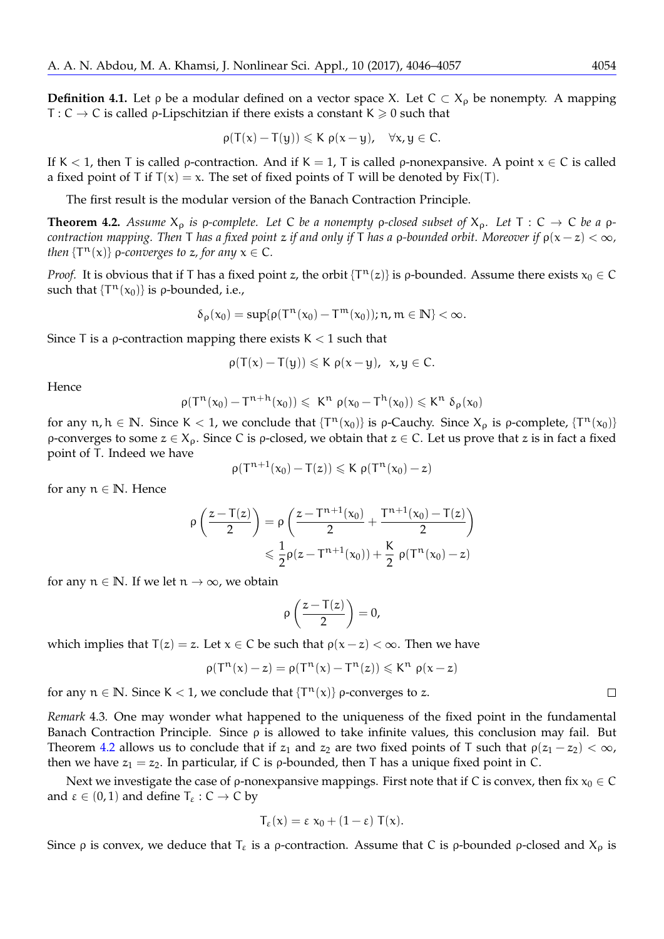**Definition 4.1.** Let *ρ* be a modular defined on a vector space X. Let  $C \subset X_0$  be nonempty. A mapping T :  $C \rightarrow C$  is called  $\rho$ -Lipschitzian if there exists a constant  $K \geq 0$  such that

$$
\rho(T(x)-T(y))\leqslant K\ \rho(x-y),\quad \forall x,y\in C.
$$

If K < 1, then T is called *ρ*-contraction. And if K = 1, T is called *ρ*-nonexpansive. A point  $x \in C$  is called a fixed point of T if  $T(x) = x$ . The set of fixed points of T will be denoted by Fix(T).

The first result is the modular version of the Banach Contraction Principle.

<span id="page-8-0"></span>**Theorem 4.2.** Assume  $X_p$  is  $p$ -complete. Let C be a nonempty  $p$ -closed subset of  $X_p$ . Let  $T: C \to C$  be a  $p$ *contraction mapping. Then* <sup>T</sup> *has a fixed point* <sup>z</sup> *if and only if* <sup>T</sup> *has a* <sup>ρ</sup>*-bounded orbit. Moreover if* <sup>ρ</sup>(<sup>x</sup> <sup>−</sup> <sup>z</sup>) <sup>&</sup>lt; <sup>∞</sup>*, then*  $\{T^n(x)\}\$  *ρ-converges to z, for any*  $x \in C$ *.* 

*Proof.* It is obvious that if T has a fixed point z, the orbit  $\{T^n(z)\}$  is *p*-bounded. Assume there exists  $x_0 \in C$ such that  $\{T^n(x_0)\}\$ is *ρ*-bounded, i.e.,

$$
\delta_{\rho}(x_0)=\sup\{\rho(T^n(x_0)-T^m(x_0)); n,m\in\mathbb{N}\}<\infty.
$$

Since T is a  $\rho$ -contraction mapping there exists  $K < 1$  such that

$$
\rho(T(x)-T(y))\leqslant K\ \rho(x-y),\ \ x,y\in C.
$$

**Hence** 

$$
\rho(T^n(x_0)-T^{n+h}(x_0))\leqslant K^n\ \rho(x_0-T^h(x_0))\leqslant K^n\ \delta_\rho(x_0)
$$

for any  $n, h \in \mathbb{N}$ . Since K < 1, we conclude that  $\{T^n(x_0)\}$  is  $\rho$ -Cauchy. Since  $X_\rho$  is  $\rho$ -complete,  $\{T^n(x_0)\}$ ρ-converges to some  $z \in X_\rho$ . Since C is ρ-closed, we obtain that  $z \in C$ . Let us prove that z is in fact a fixed point of T. Indeed we have

$$
\rho(T^{n+1}(x_0)-T(z))\leqslant K\; \rho(T^n(x_0)-z)
$$

for any  $n \in \mathbb{N}$ . Hence

$$
\begin{aligned} \rho\left(\frac{z-T(z)}{2}\right)&=\rho\left(\frac{z-T^{n+1}(x_0)}{2}+\frac{T^{n+1}(x_0)-T(z)}{2}\right)\\ &\leqslant \frac{1}{2}\rho(z-T^{n+1}(x_0))+\frac{K}{2}\;\rho(T^n(x_0)-z) \end{aligned}
$$

for any  $n \in \mathbb{N}$ . If we let  $n \to \infty$ , we obtain

$$
\rho\left(\frac{z-T(z)}{2}\right)=0,
$$

which implies that  $T(z) = z$ . Let  $x \in C$  be such that  $\rho(x - z) < \infty$ . Then we have

$$
\rho(T^n(x)-z)=\rho(T^n(x)-T^n(z))\leqslant K^n\ \rho(x-z)
$$

for any  $n \in \mathbb{N}$ . Since K < 1, we conclude that  $\{T^{n}(x)\}$   $\rho$ -converges to z.

*Remark* 4.3*.* One may wonder what happened to the uniqueness of the fixed point in the fundamental Banach Contraction Principle. Since  $\rho$  is allowed to take infinite values, this conclusion may fail. But Theorem [4.2](#page-8-0) allows us to conclude that if  $z_1$  and  $z_2$  are two fixed points of T such that  $\rho(z_1 - z_2) < \infty$ , then we have  $z_1 = z_2$ . In particular, if C is *ρ*-bounded, then T has a unique fixed point in C.

Next we investigate the case of  $\rho$ -nonexpansive mappings. First note that if C is convex, then fix  $x_0 \in C$ and  $\varepsilon \in (0, 1)$  and define  $T_{\varepsilon} : C \to C$  by

$$
T_{\epsilon}(x) = \epsilon x_0 + (1 - \epsilon) T(x).
$$

Since *ρ* is convex, we deduce that  $T_{\varepsilon}$  is a *ρ*-contraction. Assume that C is *ρ*-bounded *ρ*-closed and  $X_{\rho}$  is

$$
\sqcup
$$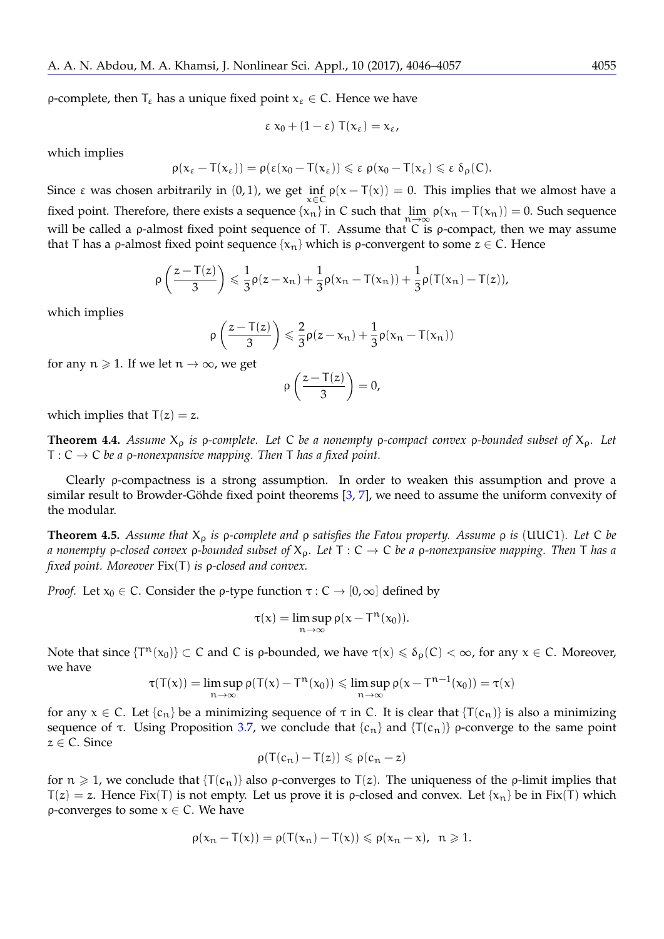ρ-complete, then  $T_{\varepsilon}$  has a unique fixed point  $x_{\varepsilon} \in C$ . Hence we have

$$
\varepsilon x_0 + (1 - \varepsilon) T(x_\varepsilon) = x_\varepsilon,
$$

which implies

$$
\rho(x_\epsilon-T(x_\epsilon))=\rho(\epsilon(x_0-T(x_\epsilon))\leqslant \epsilon \ \rho(x_0-T(x_\epsilon)\leqslant \epsilon \ \delta_\rho(C).
$$

Since  $\varepsilon$  was chosen arbitrarily in  $(0,1)$ , we get  $\inf_{x \in C} \rho(x - T(x)) = 0$ . This implies that we almost have a fixed point. Therefore, there exists a sequence  $\{x_n\}$  in C such that  $\lim_{n\to\infty} \rho(x_n - T(x_n)) = 0$ . Such sequence will be called a *ρ*-almost fixed point sequence of T. Assume that  $\overline{C}$  is *ρ*-compact, then we may assume that T has a *ρ*-almost fixed point sequence  $\{x_n\}$  which is *ρ*-convergent to some  $z \in C$ . Hence

$$
\rho\left(\frac{z-T(z)}{3}\right) \leqslant \frac{1}{3}\rho(z-x_n) + \frac{1}{3}\rho(x_n-T(x_n)) + \frac{1}{3}\rho(T(x_n)-T(z)),
$$

which implies

$$
\rho\left(\frac{z-T(z)}{3}\right) \leqslant \frac{2}{3}\rho(z-x_n) + \frac{1}{3}\rho(x_n-T(x_n))
$$

for any  $n \ge 1$ . If we let  $n \to \infty$ , we get

$$
\rho\left(\frac{z-T(z)}{3}\right)=0,
$$

which implies that  $T(z) = z$ .

<span id="page-9-1"></span>**Theorem 4.4.** *Assume* X<sup>ρ</sup> *is* ρ*-complete. Let* C *be a nonempty* ρ*-compact convex* ρ*-bounded subset of* Xρ*. Let* T : C → C *be a* ρ*-nonexpansive mapping. Then* T *has a fixed point.*

Clearly ρ-compactness is a strong assumption. In order to weaken this assumption and prove a similar result to Browder-Göhde fixed point theorems  $[3, 7]$  $[3, 7]$  $[3, 7]$  $[3, 7]$ , we need to assume the uniform convexity of the modular.

<span id="page-9-0"></span>**Theorem 4.5.** *Assume that* X<sup>ρ</sup> *is* ρ*-complete and* ρ *satisfies the Fatou property. Assume* ρ *is* (UUC1)*. Let* C *be a nonempty* ρ*-closed convex* ρ*-bounded subset of* Xρ*. Let* T : C → C *be a* ρ*-nonexpansive mapping. Then* T *has a fixed point. Moreover* Fix(T) *is* ρ*-closed and convex.*

*Proof.* Let  $x_0 \in C$ . Consider the *ρ*-type function  $\tau : C \to [0, \infty]$  defined by

$$
\tau(x)=\limsup_{n\to\infty}\rho(x-T^n(x_0)).
$$

Note that since  $\{T^n(x_0)\}\subset C$  and C is *ρ*-bounded, we have  $\tau(x)\leq \delta_\rho(C)<\infty$ , for any  $x\in C$ . Moreover, we have

$$
\tau(T(x)) = \limsup_{n \to \infty} \rho(T(x) - T^n(x_0)) \leq \limsup_{n \to \infty} \rho(x - T^{n-1}(x_0)) = \tau(x)
$$

for any  $x \in C$ . Let  $\{c_n\}$  be a minimizing sequence of  $\tau$  in C. It is clear that  $\{T(c_n)\}$  is also a minimizing sequence of τ. Using Proposition [3.7,](#page-6-0) we conclude that  ${c_n}$  and  ${T(c_n)}$  ρ-converge to the same point  $z \in \mathsf{C}$ . Since

$$
\rho(T(c_n)-T(z))\leqslant\rho(c_n-z)
$$

for  $n \ge 1$ , we conclude that  $\{T(c_n)\}$  also *ρ*-converges to  $T(z)$ . The uniqueness of the *ρ*-limit implies that  $T(z) = z$ . Hence Fix(T) is not empty. Let us prove it is p-closed and convex. Let  $\{x_n\}$  be in Fix(T) which ρ-converges to some x ∈ C. We have

$$
\rho(x_n-T(x))=\rho(T(x_n)-T(x))\leqslant\rho(x_n-x),\;\;n\geqslant 1.
$$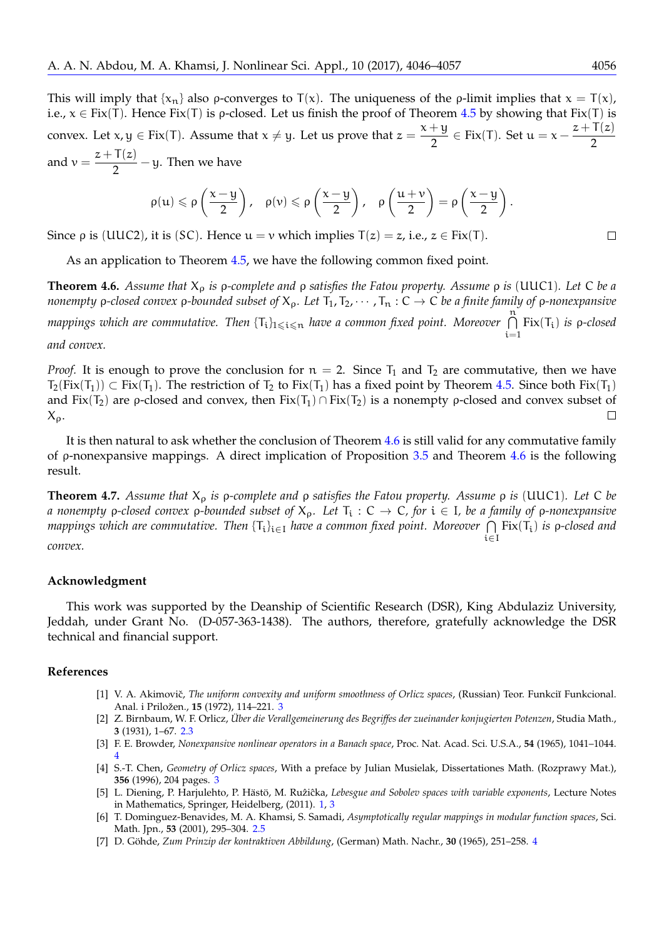This will imply that  $\{x_n\}$  also *ρ*-converges to  $T(x)$ . The uniqueness of the *ρ*-limit implies that  $x = T(x)$ , i.e.,  $x \in Fix(T)$ . Hence Fix(T) is p-closed. Let us finish the proof of Theorem [4.5](#page-9-0) by showing that Fix(T) is convex. Let  $x, y \in Fix(T)$ . Assume that  $x \neq y$ . Let us prove that  $z = \frac{x + y}{2}$  $\frac{1+y}{2} \in Fix(T)$ . Set  $u = x - \frac{z + T(z)}{2}$ 2 and  $v = \frac{z + T(z)}{2}$  $\frac{1}{2}$  - y. Then we have

$$
\rho(u) \leqslant \rho\left(\frac{x-y}{2}\right), \quad \rho(v) \leqslant \rho\left(\frac{x-y}{2}\right), \quad \rho\left(\frac{u+v}{2}\right) = \rho\left(\frac{x-y}{2}\right).
$$

Since  $\rho$  is (UUC2), it is (SC). Hence  $u = v$  which implies  $T(z) = z$ , i.e.,  $z \in Fix(T)$ .

As an application to Theorem [4.5,](#page-9-0) we have the following common fixed point.

<span id="page-10-7"></span>**Theorem 4.6.** *Assume that* X<sup>ρ</sup> *is* ρ*-complete and* ρ *satisfies the Fatou property. Assume* ρ *is* (UUC1)*. Let* C *be a nonempty ρ-closed convex <i>ρ-bounded subset of*  $X_p$ . Let  $T_1, T_2, \cdots, T_n : C \to C$  *be a finite family of ρ-nonexpansive mappings which are commutative. Then* {Ti}16i6<sup>n</sup> *have a common fixed point. Moreover* <sup>T</sup><sup>n</sup>  $i=1$ Fix(Ti) *is* ρ*-closed and convex.*

*Proof.* It is enough to prove the conclusion for  $n = 2$ . Since  $T_1$  and  $T_2$  are commutative, then we have  $T_2(Fix(T_1)) \subset Fix(T_1)$ . The restriction of  $T_2$  to  $Fix(T_1)$  has a fixed point by Theorem [4.5.](#page-9-0) Since both  $Fix(T_1)$ and Fix(T<sub>2</sub>) are *ρ*-closed and convex, then Fix(T<sub>1</sub>) ∩ Fix(T<sub>2</sub>) is a nonempty *ρ*-closed and convex subset of  $X_{\rho}$ .  $\Box$ 

It is then natural to ask whether the conclusion of Theorem [4.6](#page-10-7) is still valid for any commutative family of ρ-nonexpansive mappings. A direct implication of Proposition [3.5](#page-5-0) and Theorem [4.6](#page-10-7) is the following result.

**Theorem 4.7.** *Assume that* X<sup>ρ</sup> *is* ρ*-complete and* ρ *satisfies the Fatou property. Assume* ρ *is* (UUC1)*. Let* C *be a nonempty* ρ*-closed convex* ρ*-bounded subset of* Xρ*. Let* T<sup>i</sup> : C → C*, for* i ∈ I*, be a family of* ρ*-nonexpansive mappings which are commutative. Then* {Ti}i∈<sup>I</sup> *have a common fixed point. Moreover* T i∈I Fix(Ti) *is* ρ*-closed and convex.*

#### **Acknowledgment**

This work was supported by the Deanship of Scientific Research (DSR), King Abdulaziz University, Jeddah, under Grant No. (D-057-363-1438). The authors, therefore, gratefully acknowledge the DSR technical and financial support.

#### **References**

- <span id="page-10-3"></span>[1] V. A. Akimovič, *The uniform convexity and uniform smoothness of Orlicz spaces*, (Russian) Teor. Funkciĭ Funkcional. Anal. i Priložen., 15 (1972), 114-221. [3](#page-2-0)
- <span id="page-10-1"></span>[2] Z. Birnbaum, W. F. Orlicz, *Uber die Verallgemeinerung des Begriffes der zueinander konjugierten Potenzen ¨* , Studia Math., **3** (1931), 1–67. [2.3](#page-1-0)
- <span id="page-10-5"></span>[3] F. E. Browder, *Nonexpansive nonlinear operators in a Banach space*, Proc. Nat. Acad. Sci. U.S.A., **54** (1965), 1041–1044. [4](#page-9-1)
- <span id="page-10-4"></span>[4] S.-T. Chen, *Geometry of Orlicz spaces*, With a preface by Julian Musielak, Dissertationes Math. (Rozprawy Mat.), **356** (1996), 204 pages. [3](#page-2-0)
- <span id="page-10-0"></span>[5] L. Diening, P. Harjulehto, P. Hästö, M. Rużiĉka, Lebesgue and Sobolev spaces with variable exponents, Lecture Notes in Mathematics, Springer, Heidelberg, (2011). [1,](#page-0-0) [3](#page-2-1)
- <span id="page-10-2"></span>[6] T. Dominguez-Benavides, M. A. Khamsi, S. Samadi, *Asymptotically regular mappings in modular function spaces*, Sci. Math. Jpn., **53** (2001), 295–304. [2.5](#page-2-2)
- <span id="page-10-6"></span>[7] D. Göhde, Zum Prinzip der kontraktiven Abbildung, (German) Math. Nachr., 30 (1965), 251–258. [4](#page-9-1)

 $\Box$